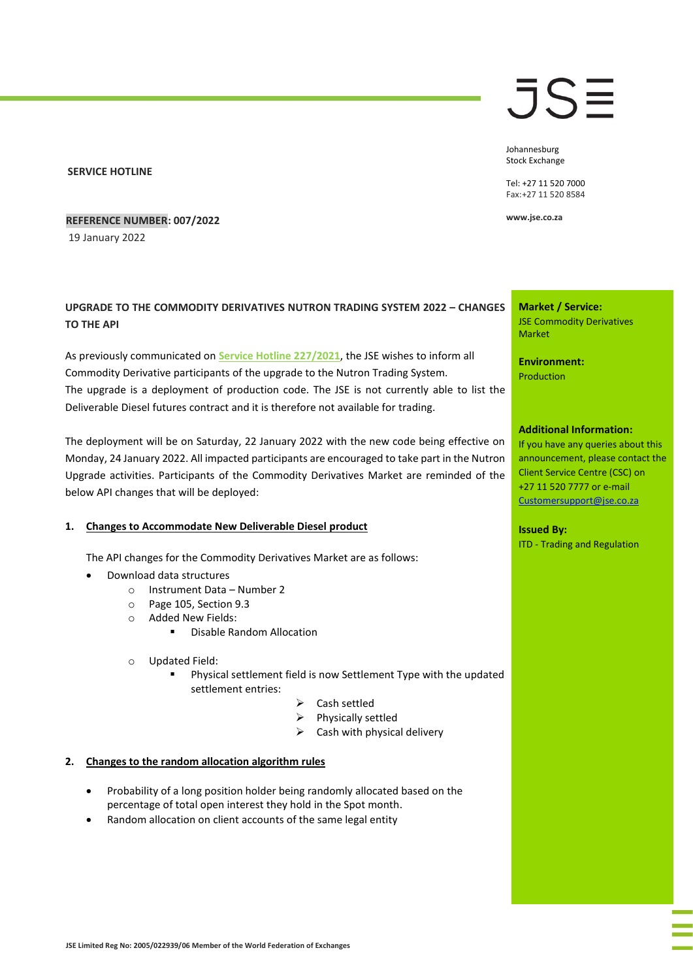#### **SERVICE HOTLINE**

**REFERENCE NUMBER: 007/2022**

19 January 2022

# **UPGRADE TO THE COMMODITY DERIVATIVES NUTRON TRADING SYSTEM 2022 – CHANGES TO THE API**

As previously communicated on **[Service Hotline 227/2021](https://clientportal.jse.co.za/Content/JSEHotlinesItems/JSE%20Service%20Hotline%2022721%20CDM%20-%20Diesel%20Contract%20Project%20Update%20-%20Revised%20Go%20Live%20Date.pdf)**, the JSE wishes to inform all Commodity Derivative participants of the upgrade to the Nutron Trading System. The upgrade is a deployment of production code. The JSE is not currently able to list the Deliverable Diesel futures contract and it is therefore not available for trading.

The deployment will be on Saturday, 22 January 2022 with the new code being effective on Monday, 24 January 2022. All impacted participants are encouraged to take part in the Nutron Upgrade activities. Participants of the Commodity Derivatives Market are reminded of the below API changes that will be deployed:

## **1. Changes to Accommodate New Deliverable Diesel product**

The API changes for the Commodity Derivatives Market are as follows:

- Download data structures
	- o Instrument Data Number 2
	- o Page 105, Section 9.3
	- o Added New Fields:
		- Disable Random Allocation
	- o Updated Field:
		- Physical settlement field is now Settlement Type with the updated settlement entries:
			- ➢ Cash settled
			- ➢ Physically settled
			- $\triangleright$  Cash with physical delivery

# **2. Changes to the random allocation algorithm rules**

- Probability of a long position holder being randomly allocated based on the percentage of total open interest they hold in the Spot month.
- Random allocation on client accounts of the same legal entity

# JSE

Johannesburg Stock Exchange

Tel: +27 11 520 7000 Fax:+27 11 520 8584

**www.jse.co.za**

**Market / Service:** JSE Commodity Derivatives Market

**Environment:** Production

## **Additional Information:**

If you have any queries about this announcement, please contact the Client Service Centre (CSC) on +27 11 520 7777 or e-mail [Customersupport@jse.co.za](mailto:Customersupport@jse.co.za)

**Issued By:** ITD - Trading and Regulation